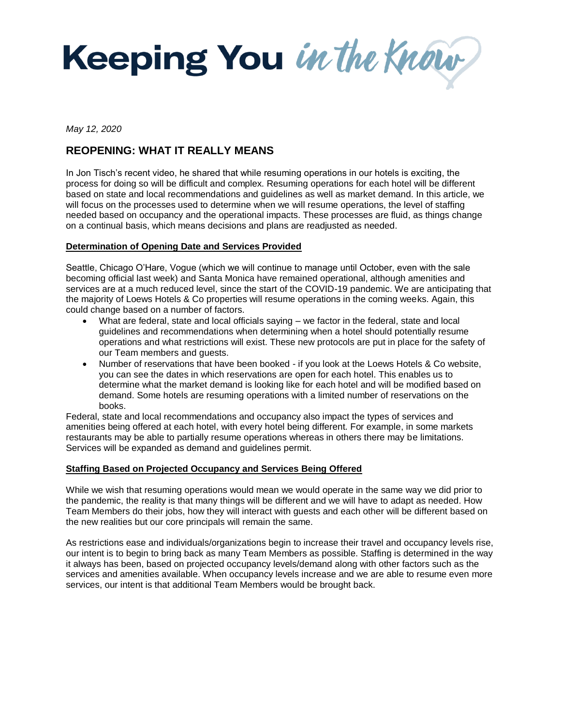

*May 12, 2020*

# **REOPENING: WHAT IT REALLY MEANS**

In Jon Tisch's recent video, he shared that while resuming operations in our hotels is exciting, the process for doing so will be difficult and complex. Resuming operations for each hotel will be different based on state and local recommendations and guidelines as well as market demand. In this article, we will focus on the processes used to determine when we will resume operations, the level of staffing needed based on occupancy and the operational impacts. These processes are fluid, as things change on a continual basis, which means decisions and plans are readjusted as needed.

### **Determination of Opening Date and Services Provided**

Seattle, Chicago O'Hare, Vogue (which we will continue to manage until October, even with the sale becoming official last week) and Santa Monica have remained operational, although amenities and services are at a much reduced level, since the start of the COVID-19 pandemic. We are anticipating that the majority of Loews Hotels & Co properties will resume operations in the coming weeks. Again, this could change based on a number of factors.

- What are federal, state and local officials saying we factor in the federal, state and local guidelines and recommendations when determining when a hotel should potentially resume operations and what restrictions will exist. These new protocols are put in place for the safety of our Team members and guests.
- Number of reservations that have been booked if you look at the Loews Hotels & Co website, you can see the dates in which reservations are open for each hotel. This enables us to determine what the market demand is looking like for each hotel and will be modified based on demand. Some hotels are resuming operations with a limited number of reservations on the books.

Federal, state and local recommendations and occupancy also impact the types of services and amenities being offered at each hotel, with every hotel being different. For example, in some markets restaurants may be able to partially resume operations whereas in others there may be limitations. Services will be expanded as demand and guidelines permit.

#### **Staffing Based on Projected Occupancy and Services Being Offered**

While we wish that resuming operations would mean we would operate in the same way we did prior to the pandemic, the reality is that many things will be different and we will have to adapt as needed. How Team Members do their jobs, how they will interact with guests and each other will be different based on the new realities but our core principals will remain the same.

As restrictions ease and individuals/organizations begin to increase their travel and occupancy levels rise, our intent is to begin to bring back as many Team Members as possible. Staffing is determined in the way it always has been, based on projected occupancy levels/demand along with other factors such as the services and amenities available. When occupancy levels increase and we are able to resume even more services, our intent is that additional Team Members would be brought back.